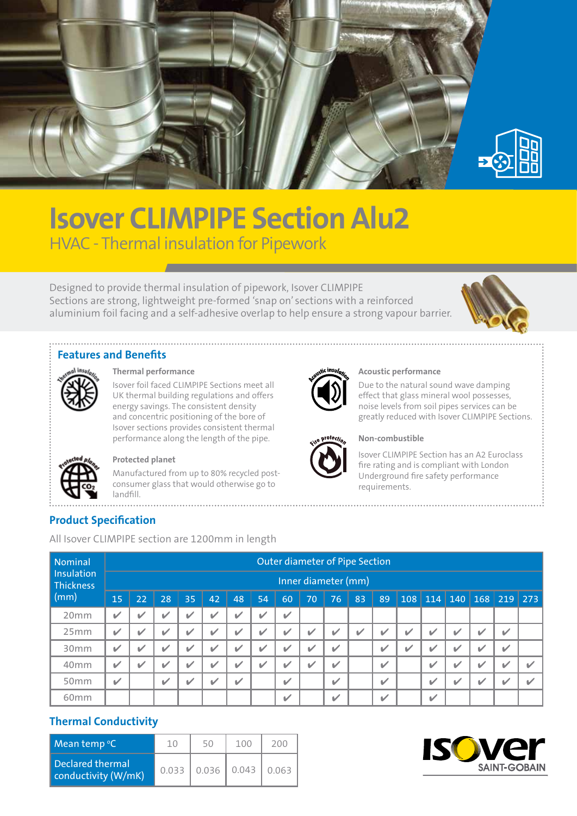

# **Isover CLIMPIPE Section Alu2** HVAC - Thermal insulation for Pipework

Designed to provide thermal insulation of pipework, Isover CLIMPIPE Sections are strong, lightweight pre-formed 'snap on' sections with a reinforced aluminium foil facing and a self-adhesive overlap to help ensure a strong vapour barrier.



#### **Features and Benefits**



**Thermal performance**

Isover foil faced CLIMPIPE Sections meet all UK thermal building regulations and offers energy savings. The consistent density and concentric positioning of the bore of Isover sections provides consistent thermal performance along the length of the pipe.



#### **Protected planet**

Manufactured from up to 80% recycled postconsumer glass that would otherwise go to landfill.



#### **Acoustic performance**

Due to the natural sound wave damping effect that glass mineral wool possesses, noise levels from soil pipes services can be greatly reduced with Isover CLIMPIPE Sections.



#### **Non-combustible**

Isover CLIMPIPE Section has an A2 Euroclass fire rating and is compliant with London Underground fire safety performance requirements.

## **Product Specification**

All Isover CLIMPIPE section are 1200mm in length

| <b>Nominal</b><br>Insulation<br>Thickness | Outer diameter of Pipe Section<br>Inner diameter (mm) |                          |              |    |                          |    |    |                          |    |                          |    |                          |   |                          |   |   |                           |   |
|-------------------------------------------|-------------------------------------------------------|--------------------------|--------------|----|--------------------------|----|----|--------------------------|----|--------------------------|----|--------------------------|---|--------------------------|---|---|---------------------------|---|
| (mm)                                      | 15                                                    | 22                       | 28           | 35 | 42                       | 48 | 54 | 60                       | 70 | 76                       | 83 | 89                       |   |                          |   |   | $108$ 114 140 168 219 273 |   |
| 20mm                                      | $\checkmark$                                          | $\overline{\mathscr{L}}$ | v            |    | $\overline{\mathbf{v}}$  | V  | ✓  | $\mathbf{v}$             |    |                          |    |                          |   |                          |   |   |                           |   |
| 25mm                                      | $\checkmark$                                          | $\overline{\mathscr{L}}$ | v            |    | $\overline{\mathscr{C}}$ | V  | ✓  | $\mathbf{v}$             | v  |                          |    | v                        | V | $\overline{\mathscr{L}}$ | V | v |                           |   |
| 30 <sub>mm</sub>                          | ✓                                                     | $\sqrt{2}$               | v            |    | v                        | V  | ✔  | $\overline{\mathscr{L}}$ | v  | ✓                        |    | V                        | V | V                        | v |   |                           |   |
| 40 <sub>mm</sub>                          | ✓                                                     | $\mathbf{v}$             | v            |    | v                        | V  | ✓  | ✓                        | v  | ✓                        |    | V                        |   | $\checkmark$             | V |   |                           | v |
| 50 <sub>mm</sub>                          | $\overline{\mathscr{L}}$                              |                          | $\checkmark$ |    | v                        | V  |    | $\checkmark$             |    | $\overline{\mathscr{L}}$ |    | $\overline{\mathscr{L}}$ |   | $\checkmark$             | V |   |                           | M |
| 60 <sub>mm</sub>                          |                                                       |                          |              |    |                          |    |    | $\mathbf v$              |    | ✔                        |    | v                        |   | ✓                        |   |   |                           |   |

### **Thermal Conductivity**

| Mean temp $\degree$ C                   | 10 | 50 | 100                       | 200 |
|-----------------------------------------|----|----|---------------------------|-----|
| Declared thermal<br>conductivity (W/mK) |    |    | $0.033$ 0.036 0.043 0.063 |     |